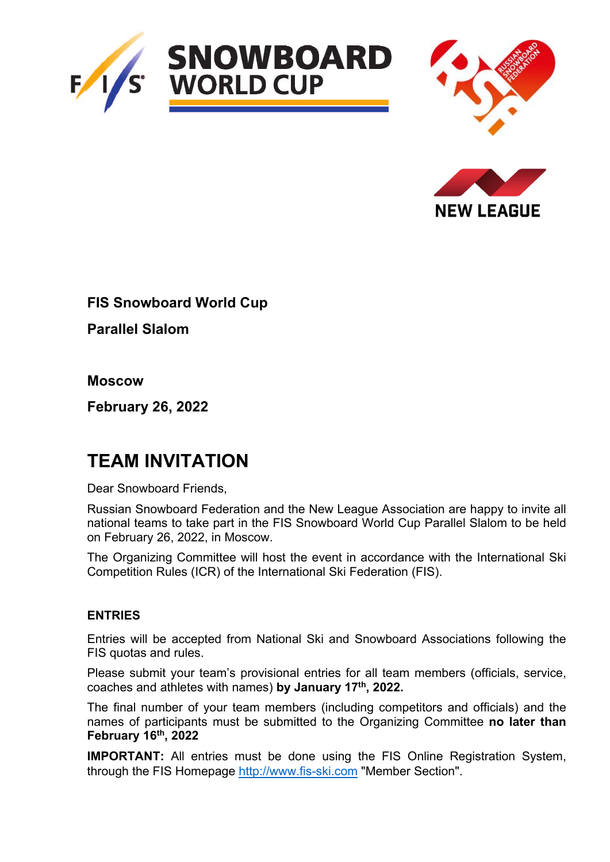





**FIS Snowboard World Cup**

**Parallel Slalom**

**Moscow**

**February 26, 2022** 

# **TEAM INVITATION**

Dear Snowboard Friends,

Russian Snowboard Federation and the New League Association are happy to invite all national teams to take part in the FIS Snowboard World Cup Parallel Slalom to be held on February 26, 2022, in Moscow.

The Organizing Committee will host the event in accordance with the International Ski Competition Rules (ICR) of the International Ski Federation (FIS).

## **ENTRIES**

Entries will be accepted from National Ski and Snowboard Associations following the FIS quotas and rules.

Please submit your team's provisional entries for all team members (officials, service, coaches and athletes with names) **by January 17th, 2022.**

The final number of your team members (including competitors and officials) and the names of participants must be submitted to the Organizing Committee **no later than February 16th, 2022**

**IMPORTANT:** All entries must be done using the FIS Online Registration System, through the FIS Homepage [http://www.fis-ski.com](http://www.fis-ski.com/) "Member Section".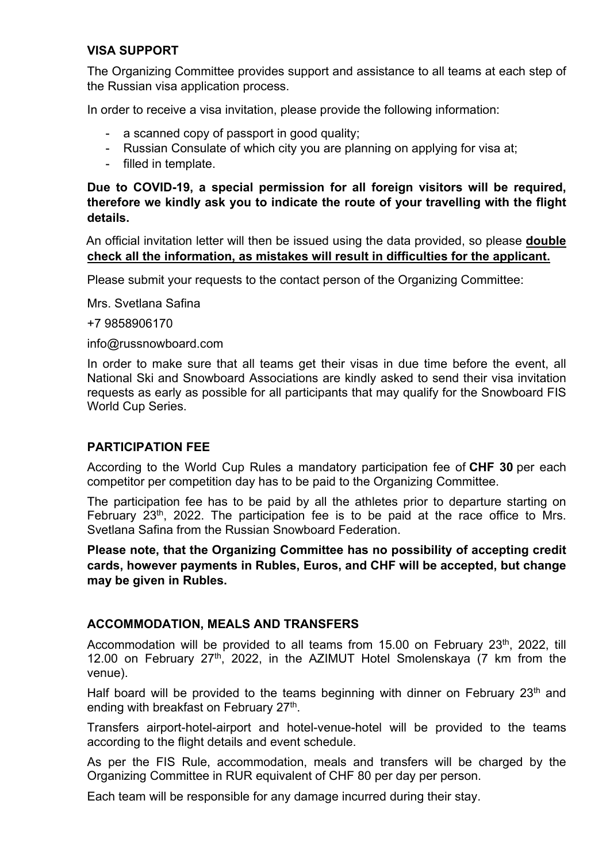## **VISA SUPPORT**

The Organizing Committee provides support and assistance to all teams at each step of the Russian visa application process.

In order to receive a visa invitation, please provide the following information:

- a scanned copy of passport in good quality;
- Russian Consulate of which city you are planning on applying for visa at;
- filled in template.

**Due to COVID-19, a special permission for all foreign visitors will be required, therefore we kindly ask you to indicate the route of your travelling with the flight details.** 

 An official invitation letter will then be issued using the data provided, so please **double check all the information, as mistakes will result in difficulties for the applicant.** 

Please submit your requests to the contact person of the Organizing Committee:

Mrs. Svetlana Safina

+7 9858906170

info@russnowboard.com

In order to make sure that all teams get their visas in due time before the event, all National Ski and Snowboard Associations are kindly asked to send their visa invitation requests as early as possible for all participants that may qualify for the Snowboard FIS World Cup Series.

#### **PARTICIPATION FEE**

According to the World Cup Rules a mandatory participation fee of **CHF 30** per each competitor per competition day has to be paid to the Organizing Committee.

The participation fee has to be paid by all the athletes prior to departure starting on February  $23<sup>th</sup>$ , 2022. The participation fee is to be paid at the race office to Mrs. Svetlana Safina from the Russian Snowboard Federation.

**Please note, that the Organizing Committee has no possibility of accepting credit cards, however payments in Rubles, Euros, and CHF will be accepted, but change may be given in Rubles.** 

#### **ACCOMMODATION, MEALS AND TRANSFERS**

Accommodation will be provided to all teams from 15.00 on February 23<sup>th</sup>, 2022, till 12.00 on February 27<sup>th</sup>, 2022, in the AZIMUT Hotel Smolenskaya (7 km from the venue).

Half board will be provided to the teams beginning with dinner on February  $23<sup>th</sup>$  and ending with breakfast on February 27<sup>th</sup>.

Transfers airport-hotel-airport and hotel-venue-hotel will be provided to the teams according to the flight details and event schedule.

As per the FIS Rule, accommodation, meals and transfers will be charged by the Organizing Committee in RUR equivalent of CHF 80 per day per person.

Each team will be responsible for any damage incurred during their stay.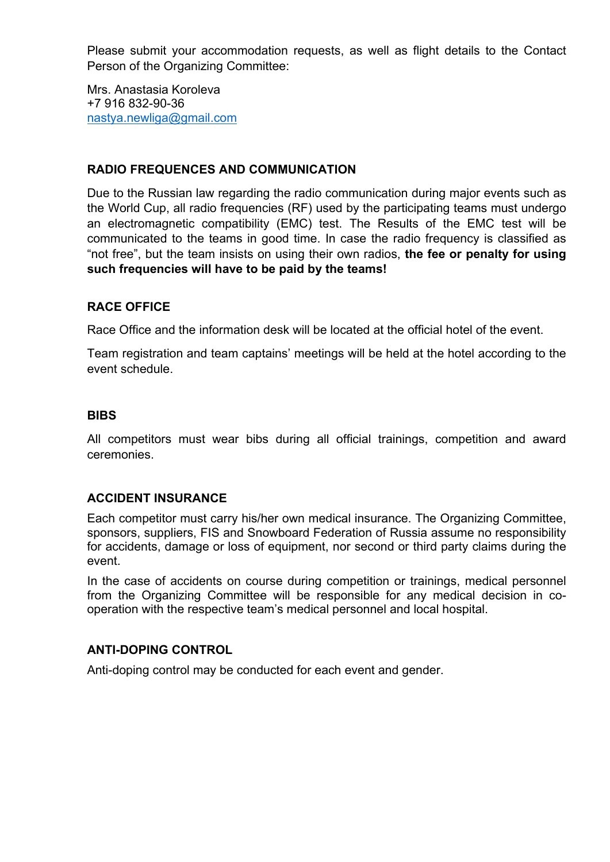Please submit your accommodation requests, as well as flight details to the Contact Person of the Organizing Committee:

Mrs. Anastasia Koroleva +7 916 832-90-36 [nastya.newliga@gmail.com](mailto:janevolodarskaya@gmail.com)

## **RADIO FREQUENCES AND COMMUNICATION**

Due to the Russian law regarding the radio communication during major events such as the World Cup, all radio frequencies (RF) used by the participating teams must undergo an electromagnetic compatibility (EMC) test. The Results of the EMC test will be communicated to the teams in good time. In case the radio frequency is classified as "not free", but the team insists on using their own radios, **the fee or penalty for using such frequencies will have to be paid by the teams!** 

## **RACE OFFICE**

Race Office and the information desk will be located at the official hotel of the event.

Team registration and team captains' meetings will be held at the hotel according to the event schedule.

#### **BIBS**

All competitors must wear bibs during all official trainings, competition and award ceremonies.

#### **ACCIDENT INSURANCE**

Each competitor must carry his/her own medical insurance. The Organizing Committee, sponsors, suppliers, FIS and Snowboard Federation of Russia assume no responsibility for accidents, damage or loss of equipment, nor second or third party claims during the event.

In the case of accidents on course during competition or trainings, medical personnel from the Organizing Committee will be responsible for any medical decision in cooperation with the respective team's medical personnel and local hospital.

#### **ANTI-DOPING CONTROL**

Anti-doping control may be conducted for each event and gender.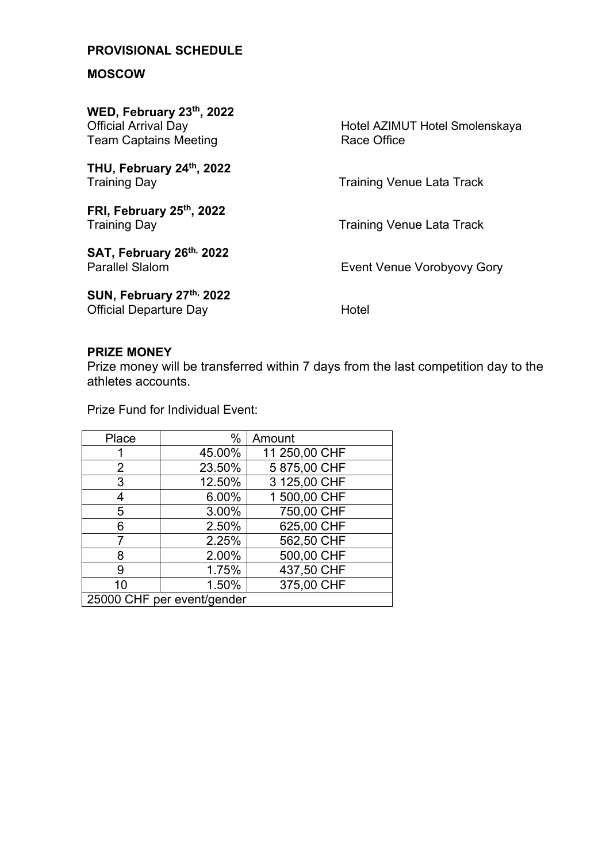# **PROVISIONAL SCHEDULE**

## **MOSCOW**

| WED, February 23th, 2022<br><b>Official Arrival Day</b><br><b>Team Captains Meeting</b> | Hotel AZIMUT Hotel Smolenskaya<br>Race Office |
|-----------------------------------------------------------------------------------------|-----------------------------------------------|
| THU, February 24th, 2022<br><b>Training Day</b>                                         | <b>Training Venue Lata Track</b>              |
| FRI, February 25th, 2022<br><b>Training Day</b>                                         | <b>Training Venue Lata Track</b>              |
| SAT, February 26th, 2022<br><b>Parallel Slalom</b>                                      | Event Venue Vorobyovy Gory                    |
| SUN, February 27th, 2022<br><b>Official Departure Day</b>                               | Hotel                                         |

#### **PRIZE MONEY**

Prize money will be transferred within 7 days from the last competition day to the athletes accounts.

Prize Fund for Individual Event:

| Place                      | $\%$   | Amount        |
|----------------------------|--------|---------------|
|                            | 45.00% | 11 250,00 CHF |
| $\overline{2}$             | 23.50% | 5 875,00 CHF  |
| 3                          | 12.50% | 3 125,00 CHF  |
| 4                          | 6.00%  | 1 500,00 CHF  |
| 5                          | 3.00%  | 750,00 CHF    |
| 6                          | 2.50%  | 625,00 CHF    |
| 7                          | 2.25%  | 562,50 CHF    |
| 8                          | 2.00%  | 500,00 CHF    |
| 9                          | 1.75%  | 437,50 CHF    |
| 10                         | 1.50%  | 375,00 CHF    |
| 25000 CHF per event/gender |        |               |